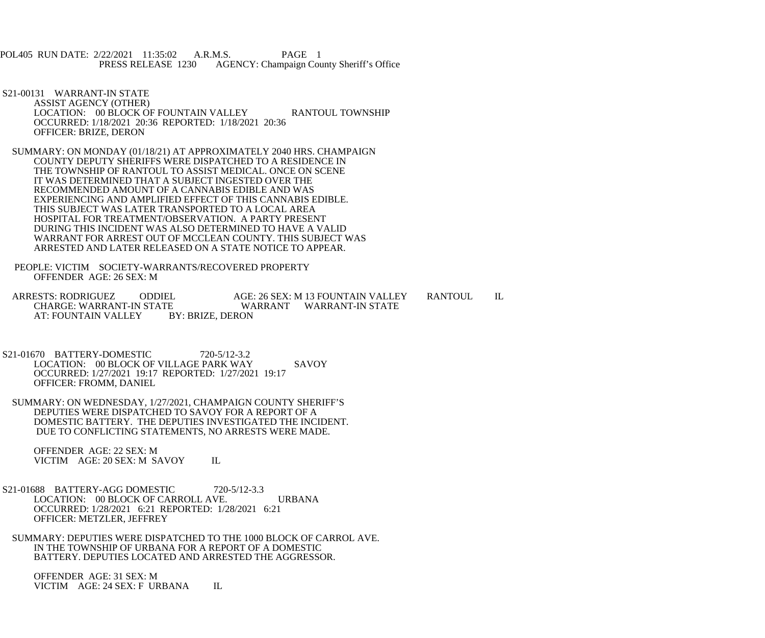POL405 RUN DATE: 2/22/2021 11:35:02 A.R.M.S. PAGE 1<br>PRESS RELEASE 1230 AGENCY: Champaign Cou AGENCY: Champaign County Sheriff's Office

- S21-00131 WARRANT-IN STATE ASSIST AGENCY (OTHER) LOCATION: 00 BLOCK OF FOUNTAIN VALLEY RANTOUL TOWNSHIP OCCURRED: 1/18/2021 20:36 REPORTED: 1/18/2021 20:36 OFFICER: BRIZE, DERON
- SUMMARY: ON MONDAY (01/18/21) AT APPROXIMATELY 2040 HRS. CHAMPAIGN COUNTY DEPUTY SHERIFFS WERE DISPATCHED TO A RESIDENCE IN THE TOWNSHIP OF RANTOUL TO ASSIST MEDICAL. ONCE ON SCENE IT WAS DETERMINED THAT A SUBJECT INGESTED OVER THE RECOMMENDED AMOUNT OF A CANNABIS EDIBLE AND WAS EXPERIENCING AND AMPLIFIED EFFECT OF THIS CANNABIS EDIBLE. THIS SUBJECT WAS LATER TRANSPORTED TO A LOCAL AREA HOSPITAL FOR TREATMENT/OBSERVATION. A PARTY PRESENT DURING THIS INCIDENT WAS ALSO DETERMINED TO HAVE A VALID WARRANT FOR ARREST OUT OF MCCLEAN COUNTY. THIS SUBJECT WAS ARRESTED AND LATER RELEASED ON A STATE NOTICE TO APPEAR.
- PEOPLE: VICTIM SOCIETY-WARRANTS/RECOVERED PROPERTY OFFENDER AGE: 26 SEX: M
- ARRESTS: RODRIGUEZ ODDIEL AGE: 26 SEX: M 13 FOUNTAIN VALLEY RANTOUL IL<br>CHARGE: WARRANT-IN STATE WARRANT WARRANT-IN STATE CHARGE: WARRANT WARRANT-IN STATE<br>EX: BRIZE. DERON AT: FOUNTAIN VALLEY
- S21-01670 BATTERY-DOMESTIC 720-5/12-3.2 LOCATION: 00 BLOCK OF VILLAGE PARK WAY SAVOY OCCURRED: 1/27/2021 19:17 REPORTED: 1/27/2021 19:17 OFFICER: FROMM, DANIEL
- SUMMARY: ON WEDNESDAY, 1/27/2021, CHAMPAIGN COUNTY SHERIFF'S DEPUTIES WERE DISPATCHED TO SAVOY FOR A REPORT OF A DOMESTIC BATTERY. THE DEPUTIES INVESTIGATED THE INCIDENT. DUE TO CONFLICTING STATEMENTS, NO ARRESTS WERE MADE.

 OFFENDER AGE: 22 SEX: M VICTIM AGE: 20 SEX: M SAVOY IL

- S21-01688 BATTERY-AGG DOMESTIC 720-5/12-3.3 LOCATION: 00 BLOCK OF CARROLL AVE. URBANA OCCURRED: 1/28/2021 6:21 REPORTED: 1/28/2021 6:21 OFFICER: METZLER, JEFFREY
- SUMMARY: DEPUTIES WERE DISPATCHED TO THE 1000 BLOCK OF CARROL AVE. IN THE TOWNSHIP OF URBANA FOR A REPORT OF A DOMESTIC BATTERY. DEPUTIES LOCATED AND ARRESTED THE AGGRESSOR.

 OFFENDER AGE: 31 SEX: M VICTIM AGE: 24 SEX: F URBANA IL